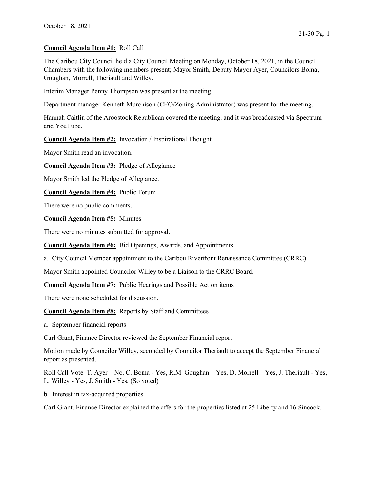## Council Agenda Item #1: Roll Call

The Caribou City Council held a City Council Meeting on Monday, October 18, 2021, in the Council Chambers with the following members present; Mayor Smith, Deputy Mayor Ayer, Councilors Boma, Goughan, Morrell, Theriault and Willey.

Interim Manager Penny Thompson was present at the meeting.

Department manager Kenneth Murchison (CEO/Zoning Administrator) was present for the meeting.

Hannah Caitlin of the Aroostook Republican covered the meeting, and it was broadcasted via Spectrum and YouTube.

Council Agenda Item #2: Invocation / Inspirational Thought

Mayor Smith read an invocation.

Council Agenda Item #3: Pledge of Allegiance

Mayor Smith led the Pledge of Allegiance.

Council Agenda Item #4: Public Forum

There were no public comments.

Council Agenda Item #5: Minutes

There were no minutes submitted for approval.

Council Agenda Item #6: Bid Openings, Awards, and Appointments

a. City Council Member appointment to the Caribou Riverfront Renaissance Committee (CRRC)

Mayor Smith appointed Councilor Willey to be a Liaison to the CRRC Board.

Council Agenda Item #7: Public Hearings and Possible Action items

There were none scheduled for discussion.

Council Agenda Item #8: Reports by Staff and Committees

a. September financial reports

Carl Grant, Finance Director reviewed the September Financial report

Motion made by Councilor Willey, seconded by Councilor Theriault to accept the September Financial report as presented.

Roll Call Vote: T. Ayer – No, C. Boma - Yes, R.M. Goughan – Yes, D. Morrell – Yes, J. Theriault - Yes, L. Willey - Yes, J. Smith - Yes, (So voted)

b. Interest in tax-acquired properties

Carl Grant, Finance Director explained the offers for the properties listed at 25 Liberty and 16 Sincock.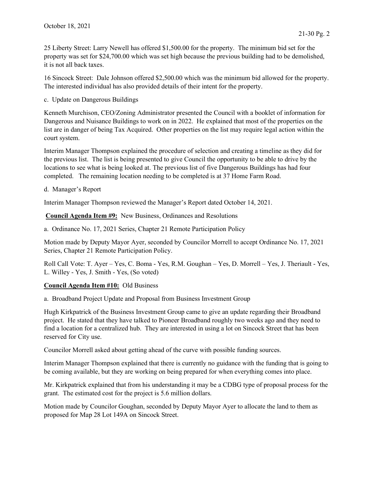25 Liberty Street: Larry Newell has offered \$1,500.00 for the property. The minimum bid set for the property was set for \$24,700.00 which was set high because the previous building had to be demolished, it is not all back taxes.

16 Sincock Street: Dale Johnson offered \$2,500.00 which was the minimum bid allowed for the property. The interested individual has also provided details of their intent for the property.

c. Update on Dangerous Buildings

Kenneth Murchison, CEO/Zoning Administrator presented the Council with a booklet of information for Dangerous and Nuisance Buildings to work on in 2022. He explained that most of the properties on the list are in danger of being Tax Acquired. Other properties on the list may require legal action within the court system.

Interim Manager Thompson explained the procedure of selection and creating a timeline as they did for the previous list. The list is being presented to give Council the opportunity to be able to drive by the locations to see what is being looked at. The previous list of five Dangerous Buildings has had four completed. The remaining location needing to be completed is at 37 Home Farm Road.

d. Manager's Report

Interim Manager Thompson reviewed the Manager's Report dated October 14, 2021.

Council Agenda Item #9: New Business, Ordinances and Resolutions

a. Ordinance No. 17, 2021 Series, Chapter 21 Remote Participation Policy

Motion made by Deputy Mayor Ayer, seconded by Councilor Morrell to accept Ordinance No. 17, 2021 Series, Chapter 21 Remote Participation Policy.

Roll Call Vote: T. Ayer – Yes, C. Boma - Yes, R.M. Goughan – Yes, D. Morrell – Yes, J. Theriault - Yes, L. Willey - Yes, J. Smith - Yes, (So voted)

## Council Agenda Item #10: Old Business

a. Broadband Project Update and Proposal from Business Investment Group

Hugh Kirkpatrick of the Business Investment Group came to give an update regarding their Broadband project. He stated that they have talked to Pioneer Broadband roughly two weeks ago and they need to find a location for a centralized hub. They are interested in using a lot on Sincock Street that has been reserved for City use.

Councilor Morrell asked about getting ahead of the curve with possible funding sources.

Interim Manager Thompson explained that there is currently no guidance with the funding that is going to be coming available, but they are working on being prepared for when everything comes into place.

Mr. Kirkpatrick explained that from his understanding it may be a CDBG type of proposal process for the grant. The estimated cost for the project is 5.6 million dollars.

Motion made by Councilor Goughan, seconded by Deputy Mayor Ayer to allocate the land to them as proposed for Map 28 Lot 149A on Sincock Street.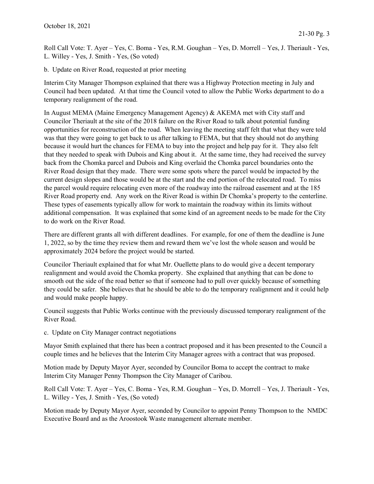Roll Call Vote: T. Ayer – Yes, C. Boma - Yes, R.M. Goughan – Yes, D. Morrell – Yes, J. Theriault - Yes, L. Willey - Yes, J. Smith - Yes, (So voted)

b. Update on River Road, requested at prior meeting

Interim City Manager Thompson explained that there was a Highway Protection meeting in July and Council had been updated. At that time the Council voted to allow the Public Works department to do a temporary realignment of the road.

In August MEMA (Maine Emergency Management Agency) & AKEMA met with City staff and Councilor Theriault at the site of the 2018 failure on the River Road to talk about potential funding opportunities for reconstruction of the road. When leaving the meeting staff felt that what they were told was that they were going to get back to us after talking to FEMA, but that they should not do anything because it would hurt the chances for FEMA to buy into the project and help pay for it. They also felt that they needed to speak with Dubois and King about it. At the same time, they had received the survey back from the Chomka parcel and Dubois and King overlaid the Chomka parcel boundaries onto the River Road design that they made. There were some spots where the parcel would be impacted by the current design slopes and those would be at the start and the end portion of the relocated road. To miss the parcel would require relocating even more of the roadway into the railroad easement and at the 185 River Road property end. Any work on the River Road is within Dr Chomka's property to the centerline. These types of easements typically allow for work to maintain the roadway within its limits without additional compensation. It was explained that some kind of an agreement needs to be made for the City to do work on the River Road.

There are different grants all with different deadlines. For example, for one of them the deadline is June 1, 2022, so by the time they review them and reward them we've lost the whole season and would be approximately 2024 before the project would be started.

Councilor Theriault explained that for what Mr. Ouellette plans to do would give a decent temporary realignment and would avoid the Chomka property. She explained that anything that can be done to smooth out the side of the road better so that if someone had to pull over quickly because of something they could be safer. She believes that he should be able to do the temporary realignment and it could help and would make people happy.

Council suggests that Public Works continue with the previously discussed temporary realignment of the River Road.

c. Update on City Manager contract negotiations

Mayor Smith explained that there has been a contract proposed and it has been presented to the Council a couple times and he believes that the Interim City Manager agrees with a contract that was proposed.

Motion made by Deputy Mayor Ayer, seconded by Councilor Boma to accept the contract to make Interim City Manager Penny Thompson the City Manager of Caribou.

Roll Call Vote: T. Ayer – Yes, C. Boma - Yes, R.M. Goughan – Yes, D. Morrell – Yes, J. Theriault - Yes, L. Willey - Yes, J. Smith - Yes, (So voted)

Motion made by Deputy Mayor Ayer, seconded by Councilor to appoint Penny Thompson to the NMDC Executive Board and as the Aroostook Waste management alternate member.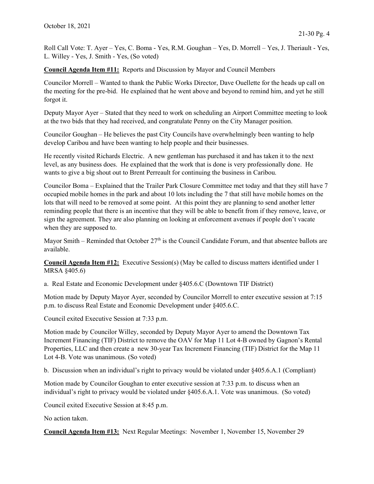Roll Call Vote: T. Ayer – Yes, C. Boma - Yes, R.M. Goughan – Yes, D. Morrell – Yes, J. Theriault - Yes, L. Willey - Yes, J. Smith - Yes, (So voted)

Council Agenda Item #11: Reports and Discussion by Mayor and Council Members

Councilor Morrell – Wanted to thank the Public Works Director, Dave Ouellette for the heads up call on the meeting for the pre-bid. He explained that he went above and beyond to remind him, and yet he still forgot it.

Deputy Mayor Ayer – Stated that they need to work on scheduling an Airport Committee meeting to look at the two bids that they had received, and congratulate Penny on the City Manager position.

Councilor Goughan – He believes the past City Councils have overwhelmingly been wanting to help develop Caribou and have been wanting to help people and their businesses.

He recently visited Richards Electric. A new gentleman has purchased it and has taken it to the next level, as any business does. He explained that the work that is done is very professionally done. He wants to give a big shout out to Brent Perreault for continuing the business in Caribou.

Councilor Boma – Explained that the Trailer Park Closure Committee met today and that they still have 7 occupied mobile homes in the park and about 10 lots including the 7 that still have mobile homes on the lots that will need to be removed at some point. At this point they are planning to send another letter reminding people that there is an incentive that they will be able to benefit from if they remove, leave, or sign the agreement. They are also planning on looking at enforcement avenues if people don't vacate when they are supposed to.

Mayor Smith – Reminded that October 27<sup>th</sup> is the Council Candidate Forum, and that absentee ballots are available.

Council Agenda Item #12: Executive Session(s) (May be called to discuss matters identified under 1 MRSA §405.6)

a. Real Estate and Economic Development under §405.6.C (Downtown TIF District)

Motion made by Deputy Mayor Ayer, seconded by Councilor Morrell to enter executive session at 7:15 p.m. to discuss Real Estate and Economic Development under §405.6.C.

Council exited Executive Session at 7:33 p.m.

Motion made by Councilor Willey, seconded by Deputy Mayor Ayer to amend the Downtown Tax Increment Financing (TIF) District to remove the OAV for Map 11 Lot 4-B owned by Gagnon's Rental Properties, LLC and then create a new 30-year Tax Increment Financing (TIF) District for the Map 11 Lot 4-B. Vote was unanimous. (So voted)

b. Discussion when an individual's right to privacy would be violated under §405.6.A.1 (Compliant)

Motion made by Councilor Goughan to enter executive session at 7:33 p.m. to discuss when an individual's right to privacy would be violated under §405.6.A.1. Vote was unanimous. (So voted)

Council exited Executive Session at 8:45 p.m.

No action taken.

Council Agenda Item #13: Next Regular Meetings: November 1, November 15, November 29